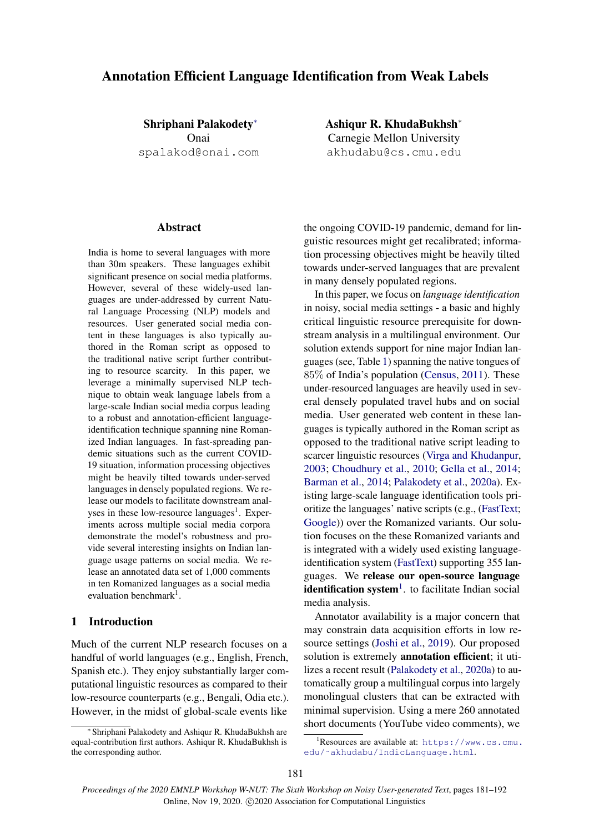# Annotation Efficient Language Identification from Weak Labels

Shriphani Palakodety<sup>∗</sup> Onai spalakod@onai.com

## Abstract

India is home to several languages with more than 30m speakers. These languages exhibit significant presence on social media platforms. However, several of these widely-used languages are under-addressed by current Natural Language Processing (NLP) models and resources. User generated social media content in these languages is also typically authored in the Roman script as opposed to the traditional native script further contributing to resource scarcity. In this paper, we leverage a minimally supervised NLP technique to obtain weak language labels from a large-scale Indian social media corpus leading to a robust and annotation-efficient languageidentification technique spanning nine Romanized Indian languages. In fast-spreading pandemic situations such as the current COVID-19 situation, information processing objectives might be heavily tilted towards under-served languages in densely populated regions. We release our models to facilitate downstream analyses in these low-resource languages<sup>1</sup>. Experiments across multiple social media corpora demonstrate the model's robustness and provide several interesting insights on Indian language usage patterns on social media. We release an annotated data set of 1,000 comments in ten Romanized languages as a social media evaluation benchmark<sup>1</sup>.

# 1 Introduction

Much of the current NLP research focuses on a handful of world languages (e.g., English, French, Spanish etc.). They enjoy substantially larger computational linguistic resources as compared to their low-resource counterparts (e.g., Bengali, Odia etc.). However, in the midst of global-scale events like

Ashiqur R. KhudaBukhsh<sup>∗</sup> Carnegie Mellon University akhudabu@cs.cmu.edu

the ongoing COVID-19 pandemic, demand for linguistic resources might get recalibrated; information processing objectives might be heavily tilted towards under-served languages that are prevalent in many densely populated regions.

In this paper, we focus on *language identification* in noisy, social media settings - a basic and highly critical linguistic resource prerequisite for downstream analysis in a multilingual environment. Our solution extends support for nine major Indian languages (see, Table [1\)](#page-1-0) spanning the native tongues of 85% of India's population [\(Census,](#page-8-0) [2011\)](#page-8-0). These under-resourced languages are heavily used in several densely populated travel hubs and on social media. User generated web content in these languages is typically authored in the Roman script as opposed to the traditional native script leading to scarcer linguistic resources [\(Virga and Khudanpur,](#page-9-0) [2003;](#page-9-0) [Choudhury et al.,](#page-8-1) [2010;](#page-8-1) [Gella et al.,](#page-8-2) [2014;](#page-8-2) [Barman et al.,](#page-8-3) [2014;](#page-8-3) [Palakodety et al.,](#page-9-1) [2020a\)](#page-9-1). Existing large-scale language identification tools prioritize the languages' native scripts (e.g., [\(FastText;](#page-8-4) [Google\)](#page-8-5)) over the Romanized variants. Our solution focuses on the these Romanized variants and is integrated with a widely used existing languageidentification system [\(FastText\)](#page-8-4) supporting 355 languages. We release our open-source language identification system<sup>[1](#page-0-0)</sup>. to facilitate Indian social media analysis.

Annotator availability is a major concern that may constrain data acquisition efforts in low resource settings [\(Joshi et al.,](#page-8-6) [2019\)](#page-8-6). Our proposed solution is extremely **annotation efficient**; it utilizes a recent result [\(Palakodety et al.,](#page-9-1) [2020a\)](#page-9-1) to automatically group a multilingual corpus into largely monolingual clusters that can be extracted with minimal supervision. Using a mere 260 annotated short documents (YouTube video comments), we

<sup>∗</sup> Shriphani Palakodety and Ashiqur R. KhudaBukhsh are equal-contribution first authors. Ashiqur R. KhudaBukhsh is the corresponding author.

<span id="page-0-0"></span> $^{\rm 1}$ Resources are available at: <code>[https://www.cs.cmu.](https://www.cs.cmu.edu/~akhudabu/IndicLanguage.html)</code> [edu/˜akhudabu/IndicLanguage.html](https://www.cs.cmu.edu/~akhudabu/IndicLanguage.html).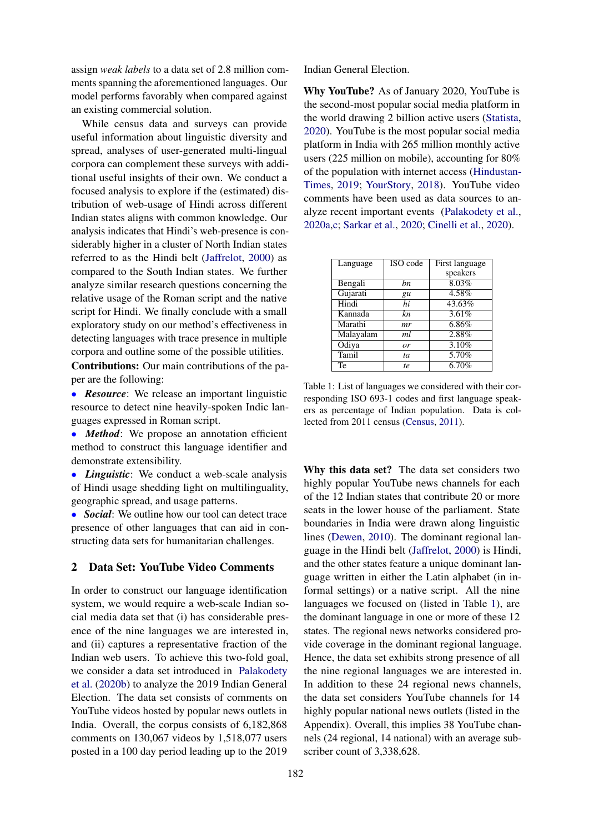assign *weak labels* to a data set of 2.8 million comments spanning the aforementioned languages. Our model performs favorably when compared against an existing commercial solution.

While census data and surveys can provide useful information about linguistic diversity and spread, analyses of user-generated multi-lingual corpora can complement these surveys with additional useful insights of their own. We conduct a focused analysis to explore if the (estimated) distribution of web-usage of Hindi across different Indian states aligns with common knowledge. Our analysis indicates that Hindi's web-presence is considerably higher in a cluster of North Indian states referred to as the Hindi belt [\(Jaffrelot,](#page-8-7) [2000\)](#page-8-7) as compared to the South Indian states. We further analyze similar research questions concerning the relative usage of the Roman script and the native script for Hindi. We finally conclude with a small exploratory study on our method's effectiveness in detecting languages with trace presence in multiple corpora and outline some of the possible utilities. Contributions: Our main contributions of the paper are the following:

• *Resource*: We release an important linguistic resource to detect nine heavily-spoken Indic languages expressed in Roman script.

• *Method*: We propose an annotation efficient method to construct this language identifier and demonstrate extensibility.

• *Linguistic*: We conduct a web-scale analysis of Hindi usage shedding light on multilinguality, geographic spread, and usage patterns.

• *Social*: We outline how our tool can detect trace presence of other languages that can aid in constructing data sets for humanitarian challenges.

# 2 Data Set: YouTube Video Comments

In order to construct our language identification system, we would require a web-scale Indian social media data set that (i) has considerable presence of the nine languages we are interested in, and (ii) captures a representative fraction of the Indian web users. To achieve this two-fold goal, we consider a data set introduced in [Palakodety](#page-9-2) [et al.](#page-9-2) [\(2020b\)](#page-9-2) to analyze the 2019 Indian General Election. The data set consists of comments on YouTube videos hosted by popular news outlets in India. Overall, the corpus consists of 6,182,868 comments on 130,067 videos by 1,518,077 users posted in a 100 day period leading up to the 2019

Indian General Election.

Why YouTube? As of January 2020, YouTube is the second-most popular social media platform in the world drawing 2 billion active users [\(Statista,](#page-9-3) [2020\)](#page-9-3). YouTube is the most popular social media platform in India with 265 million monthly active users (225 million on mobile), accounting for 80% of the population with internet access [\(Hindustan-](#page-8-8)[Times,](#page-8-8) [2019;](#page-8-8) [YourStory,](#page-9-4) [2018\)](#page-9-4). YouTube video comments have been used as data sources to analyze recent important events [\(Palakodety et al.,](#page-9-1) [2020a,](#page-9-1)[c;](#page-9-5) [Sarkar et al.,](#page-9-6) [2020;](#page-9-6) [Cinelli et al.,](#page-8-9) [2020\)](#page-8-9).

<span id="page-1-0"></span>

| Language  | ISO code  | First language |
|-----------|-----------|----------------|
|           |           | speakers       |
| Bengali   | bn        | 8.03%          |
| Gujarati  | gu        | 4.58%          |
| Hindi     | hi        | 43.63%         |
| Kannada   | kn        | 3.61%          |
| Marathi   | mr        | 6.86%          |
| Malayalam | ml        | 2.88%          |
| Odiya     | <i>or</i> | 3.10%          |
| Tamil     | ta        | 5.70%          |
| Te        | te.       | 6.70%          |

Table 1: List of languages we considered with their corresponding ISO 693-1 codes and first language speakers as percentage of Indian population. Data is collected from 2011 census [\(Census,](#page-8-0) [2011\)](#page-8-0).

Why this data set? The data set considers two highly popular YouTube news channels for each of the 12 Indian states that contribute 20 or more seats in the lower house of the parliament. State boundaries in India were drawn along linguistic lines [\(Dewen,](#page-8-10) [2010\)](#page-8-10). The dominant regional language in the Hindi belt [\(Jaffrelot,](#page-8-7) [2000\)](#page-8-7) is Hindi, and the other states feature a unique dominant language written in either the Latin alphabet (in informal settings) or a native script. All the nine languages we focused on (listed in Table [1\)](#page-1-0), are the dominant language in one or more of these 12 states. The regional news networks considered provide coverage in the dominant regional language. Hence, the data set exhibits strong presence of all the nine regional languages we are interested in. In addition to these 24 regional news channels, the data set considers YouTube channels for 14 highly popular national news outlets (listed in the Appendix). Overall, this implies 38 YouTube channels (24 regional, 14 national) with an average subscriber count of 3,338,628.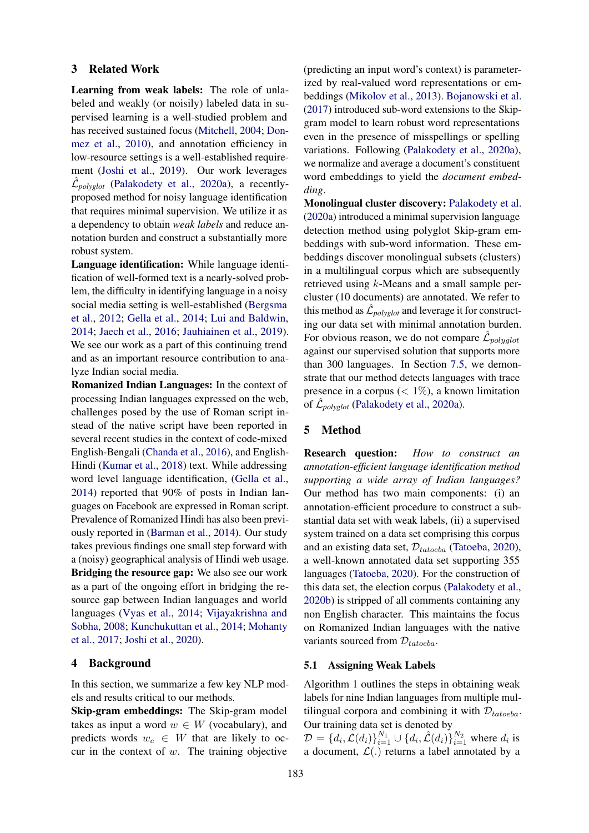#### 3 Related Work

Learning from weak labels: The role of unlabeled and weakly (or noisily) labeled data in supervised learning is a well-studied problem and has received sustained focus [\(Mitchell,](#page-9-7) [2004;](#page-9-7) [Don](#page-8-11)[mez et al.,](#page-8-11) [2010\)](#page-8-11), and annotation efficiency in low-resource settings is a well-established requirement [\(Joshi et al.,](#page-8-6) [2019\)](#page-8-6). Our work leverages  $\hat{\mathcal{L}}_{polyglot}$  [\(Palakodety et al.,](#page-9-1) [2020a\)](#page-9-1), a recentlyproposed method for noisy language identification that requires minimal supervision. We utilize it as a dependency to obtain *weak labels* and reduce annotation burden and construct a substantially more robust system.

Language identification: While language identification of well-formed text is a nearly-solved problem, the difficulty in identifying language in a noisy social media setting is well-established [\(Bergsma](#page-8-12) [et al.,](#page-8-12) [2012;](#page-8-12) [Gella et al.,](#page-8-2) [2014;](#page-8-2) [Lui and Baldwin,](#page-9-8) [2014;](#page-9-8) [Jaech et al.,](#page-8-13) [2016;](#page-8-13) [Jauhiainen et al.,](#page-8-14) [2019\)](#page-8-14). We see our work as a part of this continuing trend and as an important resource contribution to analyze Indian social media.

Romanized Indian Languages: In the context of processing Indian languages expressed on the web, challenges posed by the use of Roman script instead of the native script have been reported in several recent studies in the context of code-mixed English-Bengali [\(Chanda et al.,](#page-8-15) [2016\)](#page-8-15), and English-Hindi [\(Kumar et al.,](#page-9-9) [2018\)](#page-9-9) text. While addressing word level language identification, [\(Gella et al.,](#page-8-2) [2014\)](#page-8-2) reported that 90% of posts in Indian languages on Facebook are expressed in Roman script. Prevalence of Romanized Hindi has also been previously reported in [\(Barman et al.,](#page-8-3) [2014\)](#page-8-3). Our study takes previous findings one small step forward with a (noisy) geographical analysis of Hindi web usage. Bridging the resource gap: We also see our work as a part of the ongoing effort in bridging the resource gap between Indian languages and world languages [\(Vyas et al.,](#page-9-10) [2014;](#page-9-10) [Vijayakrishna and](#page-9-11) [Sobha,](#page-9-11) [2008;](#page-9-11) [Kunchukuttan et al.,](#page-9-12) [2014;](#page-9-12) [Mohanty](#page-9-13) [et al.,](#page-9-13) [2017;](#page-9-13) [Joshi et al.,](#page-9-14) [2020\)](#page-9-14).

#### 4 Background

In this section, we summarize a few key NLP models and results critical to our methods.

Skip-gram embeddings: The Skip-gram model takes as input a word  $w \in W$  (vocabulary), and predicts words  $w_c \in W$  that are likely to occur in the context of  $w$ . The training objective

(predicting an input word's context) is parameterized by real-valued word representations or embeddings [\(Mikolov et al.,](#page-9-15) [2013\)](#page-9-15). [Bojanowski et al.](#page-8-16) [\(2017\)](#page-8-16) introduced sub-word extensions to the Skipgram model to learn robust word representations even in the presence of misspellings or spelling variations. Following [\(Palakodety et al.,](#page-9-1) [2020a\)](#page-9-1), we normalize and average a document's constituent word embeddings to yield the *document embedding*.

Monolingual cluster discovery: [Palakodety et al.](#page-9-1) [\(2020a\)](#page-9-1) introduced a minimal supervision language detection method using polyglot Skip-gram embeddings with sub-word information. These embeddings discover monolingual subsets (clusters) in a multilingual corpus which are subsequently retrieved using k-Means and a small sample percluster (10 documents) are annotated. We refer to this method as  $\hat{\mathcal{L}}_{polyglot}$  and leverage it for constructing our data set with minimal annotation burden. For obvious reason, we do not compare  $\hat{\mathcal{L}}_{polyglot}$ against our supervised solution that supports more than 300 languages. In Section [7.5,](#page-6-0) we demonstrate that our method detects languages with trace presence in a corpus ( $\lt 1\%$ ), a known limitation of  $\hat{\mathcal{L}}_{polyglot}$  [\(Palakodety et al.,](#page-9-1) [2020a\)](#page-9-1).

#### 5 Method

Research question: *How to construct an annotation-efficient language identification method supporting a wide array of Indian languages?* Our method has two main components: (i) an annotation-efficient procedure to construct a substantial data set with weak labels, (ii) a supervised system trained on a data set comprising this corpus and an existing data set,  $D_{tatoeba}$  [\(Tatoeba,](#page-9-16) [2020\)](#page-9-16), a well-known annotated data set supporting 355 languages [\(Tatoeba,](#page-9-16) [2020\)](#page-9-16). For the construction of this data set, the election corpus [\(Palakodety et al.,](#page-9-2) [2020b\)](#page-9-2) is stripped of all comments containing any non English character. This maintains the focus on Romanized Indian languages with the native variants sourced from  $\mathcal{D}_{tatoeba}$ .

# 5.1 Assigning Weak Labels

Algorithm [1](#page-3-0) outlines the steps in obtaining weak labels for nine Indian languages from multiple multilingual corpora and combining it with  $\mathcal{D}_{tatoeba}$ . Our training data set is denoted by

 $D = \{d_i, \mathcal{L}(d_i)\}_{i=1}^{N_1} \cup \{d_i, \hat{\mathcal{L}}(d_i)\}_{i=1}^{N_2}$  where  $d_i$  is a document,  $\mathcal{L}(.)$  returns a label annotated by a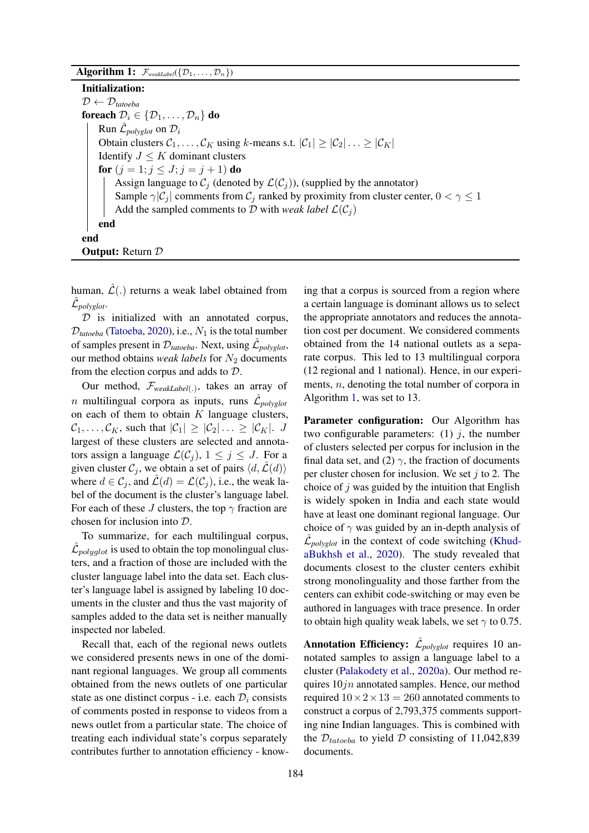$\overline{\mathbf{Algorithm}}\; \mathbf{1:}\; \mathcal{F}_{\textit{weakLabel}}(\{\mathcal{D}_1,\ldots,\mathcal{D}_n\})$ 

Initialization:  $\mathcal{D} \leftarrow \mathcal{D}_{tatoeba}$ foreach  $\mathcal{D}_i \in \{\mathcal{D}_1, \ldots, \mathcal{D}_n\}$  do Run  $\hat{\mathcal{L}}_{polyglot}$  on  $\mathcal{D}_i$ Obtain clusters  $C_1, \ldots, C_K$  using k-means s.t.  $|C_1| \ge |C_2| \ldots \ge |C_K|$ Identify  $J \leq K$  dominant clusters for  $(j = 1; j \leq J; j = j + 1)$  do Assign language to  $C_j$  (denoted by  $\mathcal{L}(C_j)$ ), (supplied by the annotator) Sample  $\gamma |C_i|$  comments from  $C_i$  ranked by proximity from cluster center,  $0 < \gamma \leq 1$ Add the sampled comments to D with *weak label*  $\mathcal{L}(\mathcal{C}_i)$ end end **Output:** Return  $D$ 

<span id="page-3-0"></span>human,  $\hat{\mathcal{L}}(.)$  returns a weak label obtained from  $\hat{\mathcal{L}}_{polyglot}.$ 

 $D$  is initialized with an annotated corpus,  $D_{tatoeba}$  [\(Tatoeba,](#page-9-16) [2020\)](#page-9-16), i.e.,  $N_1$  is the total number of samples present in  $\mathcal{D}_{tatoeba}$ . Next, using  $\hat{\mathcal{L}}_{polyglot}$ , our method obtains *weak labels* for  $N_2$  documents from the election corpus and adds to D.

Our method, F*weakLabel*(.) , takes an array of  $n$  multilingual corpora as inputs, runs  $\mathcal{\hat{L}}_{polyglot}$ on each of them to obtain  $K$  language clusters,  $\mathcal{C}_1, \ldots, \mathcal{C}_K$ , such that  $|\mathcal{C}_1| \geq |\mathcal{C}_2| \ldots \geq |\mathcal{C}_K|$ . J largest of these clusters are selected and annotators assign a language  $\mathcal{L}(\mathcal{C}_j)$ ,  $1 \leq j \leq J$ . For a given cluster  $C_i$ , we obtain a set of pairs  $\langle d, \mathcal{L}(d) \rangle$ where  $d \in \mathcal{C}_i$ , and  $\hat{\mathcal{L}}(d) = \mathcal{L}(\mathcal{C}_i)$ , i.e., the weak label of the document is the cluster's language label. For each of these J clusters, the top  $\gamma$  fraction are chosen for inclusion into D.

To summarize, for each multilingual corpus,  $\hat{\mathcal{L}}_{polyglot}$  is used to obtain the top monolingual clusters, and a fraction of those are included with the cluster language label into the data set. Each cluster's language label is assigned by labeling 10 documents in the cluster and thus the vast majority of samples added to the data set is neither manually inspected nor labeled.

Recall that, each of the regional news outlets we considered presents news in one of the dominant regional languages. We group all comments obtained from the news outlets of one particular state as one distinct corpus - i.e. each  $\mathcal{D}_i$  consists of comments posted in response to videos from a news outlet from a particular state. The choice of treating each individual state's corpus separately contributes further to annotation efficiency - know-

ing that a corpus is sourced from a region where a certain language is dominant allows us to select the appropriate annotators and reduces the annotation cost per document. We considered comments obtained from the 14 national outlets as a separate corpus. This led to 13 multilingual corpora (12 regional and 1 national). Hence, in our experiments, n, denoting the total number of corpora in Algorithm [1,](#page-3-0) was set to 13.

Parameter configuration: Our Algorithm has two configurable parameters: (1)  $i$ , the number of clusters selected per corpus for inclusion in the final data set, and (2)  $\gamma$ , the fraction of documents per cluster chosen for inclusion. We set  $j$  to 2. The choice of  $j$  was guided by the intuition that English is widely spoken in India and each state would have at least one dominant regional language. Our choice of  $\gamma$  was guided by an in-depth analysis of  $\hat{\mathcal{L}}_{polyglot}$  in the context of code switching [\(Khud](#page-9-17)[aBukhsh et al.,](#page-9-17) [2020\)](#page-9-17). The study revealed that documents closest to the cluster centers exhibit strong monolinguality and those farther from the centers can exhibit code-switching or may even be authored in languages with trace presence. In order to obtain high quality weak labels, we set  $\gamma$  to 0.75.

**Annotation Efficiency:**  $\hat{\mathcal{L}}_{polyglot}$  requires 10 annotated samples to assign a language label to a cluster [\(Palakodety et al.,](#page-9-1) [2020a\)](#page-9-1). Our method requires  $10jn$  annotated samples. Hence, our method required  $10 \times 2 \times 13 = 260$  annotated comments to construct a corpus of 2,793,375 comments supporting nine Indian languages. This is combined with the  $\mathcal{D}_{tatoeba}$  to yield  $\mathcal D$  consisting of 11,042,839 documents.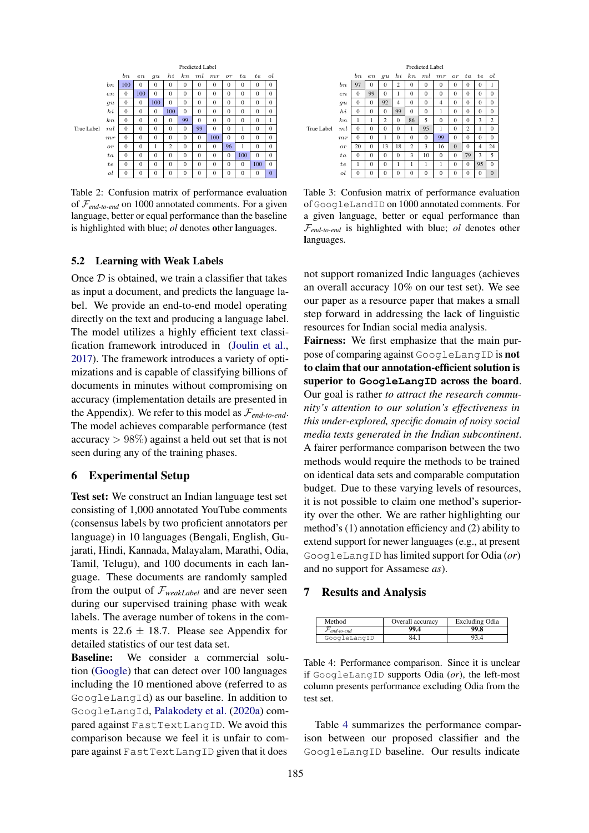<span id="page-4-1"></span>

Table 2: Confusion matrix of performance evaluation of F*end-to-end* on 1000 annotated comments. For a given language, better or equal performance than the baseline is highlighted with blue; *ol* denotes other languages.

#### 5.2 Learning with Weak Labels

Once  $D$  is obtained, we train a classifier that takes as input a document, and predicts the language label. We provide an end-to-end model operating directly on the text and producing a language label. The model utilizes a highly efficient text classification framework introduced in [\(Joulin et al.,](#page-9-18) [2017\)](#page-9-18). The framework introduces a variety of optimizations and is capable of classifying billions of documents in minutes without compromising on accuracy (implementation details are presented in the Appendix). We refer to this model as  $\mathcal{F}_{end-to-end}$ . The model achieves comparable performance (test accuracy  $> 98\%$ ) against a held out set that is not seen during any of the training phases.

# 6 Experimental Setup

Test set: We construct an Indian language test set consisting of 1,000 annotated YouTube comments (consensus labels by two proficient annotators per language) in 10 languages (Bengali, English, Gujarati, Hindi, Kannada, Malayalam, Marathi, Odia, Tamil, Telugu), and 100 documents in each language. These documents are randomly sampled from the output of  $\mathcal{F}_{weakLabel}$  and are never seen during our supervised training phase with weak labels. The average number of tokens in the comments is  $22.6 \pm 18.7$ . Please see Appendix for detailed statistics of our test data set.

Baseline: We consider a commercial solution [\(Google\)](#page-8-5) that can detect over 100 languages including the 10 mentioned above (referred to as GoogleLangId) as our baseline. In addition to GoogleLangId, [Palakodety et al.](#page-9-1) [\(2020a\)](#page-9-1) compared against FastTextLangID. We avoid this comparison because we feel it is unfair to compare against FastTextLangID given that it does

<span id="page-4-2"></span>

|            |         | Predicted Label |                |                |                |                |          |              |                 |                |                |                |
|------------|---------|-----------------|----------------|----------------|----------------|----------------|----------|--------------|-----------------|----------------|----------------|----------------|
|            |         | $_{bn}$         | e n            | gu             | h              | kn             | $m$ l    | mr           | $\overline{or}$ | $^{ta}$        | te             | ol             |
|            | $_{bn}$ | 97              | $\theta$       | $\Omega$       | $\overline{c}$ | $\theta$       | $\theta$ | $\Omega$     | $\theta$        | $\Omega$       | $\theta$       | 1              |
|            | $_{en}$ | $\mathbf{0}$    | 99             | $\Omega$       | 1              | $\theta$       | $\Omega$ | $\Omega$     | $\theta$        | $\Omega$       | $\overline{0}$ | $\mathbf{0}$   |
|            | gu      | $\Omega$        | $\Omega$       | 92             | $\overline{4}$ | $\Omega$       | $\Omega$ | 4            | $\Omega$        | $\Omega$       | $\overline{0}$ | $\mathbf{0}$   |
|            | $h_{i}$ | $\Omega$        | $\Omega$       | $\Omega$       | 99             | $\theta$       | $\Omega$ | 1            | $\Omega$        | $\Omega$       | $\theta$       | $\overline{0}$ |
|            | k n     | 1               | 1              | $\overline{c}$ | $\mathbf{0}$   | 86             | 5        | $\Omega$     | $\mathbf{0}$    | $\Omega$       | 3              | $\overline{c}$ |
| True Label | ml      | $\mathbf{0}$    | $\mathbf{0}$   | $\Omega$       | $\mathbf{0}$   | 1              | 95       | 1            | $\mathbf{0}$    | $\overline{c}$ | 1              | $\mathbf{0}$   |
|            | mr      | $\mathbf{0}$    | $\overline{0}$ | 1              | $\Omega$       | $\theta$       | $\Omega$ | 99           | $\theta$        | $\Omega$       | $\overline{0}$ | $\overline{0}$ |
|            | or      | 20              | $\Omega$       | 13             | 18             | $\overline{c}$ | 3        | 16           | $\mathbf{0}$    | $\Omega$       | 4              | 24             |
|            | ta      | $\mathbf{0}$    | $\Omega$       | $\Omega$       | $\mathbf{0}$   | 3              | 10       | $\mathbf{0}$ | $\mathbf{0}$    | 79             | 3              | 5              |
|            | te      | 1               | $\Omega$       | $\Omega$       | 1              | 1              | 1        | 1            | $\Omega$        | $\Omega$       | 95             | $\Omega$       |
|            | ol      | $\mathbf{0}$    | $\Omega$       | $\Omega$       | $\mathbf{0}$   | $\Omega$       | $\Omega$ | $\Omega$     | $\Omega$        | $\Omega$       | $\overline{0}$ | $\theta$       |

Table 3: Confusion matrix of performance evaluation of GoogleLandID on 1000 annotated comments. For a given language, better or equal performance than F*end-to-end* is highlighted with blue; *ol* denotes other languages.

not support romanized Indic languages (achieves an overall accuracy 10% on our test set). We see our paper as a resource paper that makes a small step forward in addressing the lack of linguistic resources for Indian social media analysis.

Fairness: We first emphasize that the main purpose of comparing against GoogleLangID is not to claim that our annotation-efficient solution is superior to **GoogleLangID** across the board. Our goal is rather *to attract the research community's attention to our solution's effectiveness in this under-explored, specific domain of noisy social media texts generated in the Indian subcontinent*. A fairer performance comparison between the two methods would require the methods to be trained on identical data sets and comparable computation budget. Due to these varying levels of resources, it is not possible to claim one method's superiority over the other. We are rather highlighting our method's (1) annotation efficiency and (2) ability to extend support for newer languages (e.g., at present GoogleLangID has limited support for Odia (*or*) and no support for Assamese *as*).

#### 7 Results and Analysis

<span id="page-4-0"></span>

| Method        | Overall accuracy | <b>Excluding Odia</b> |
|---------------|------------------|-----------------------|
| $end$ -to-end | 99.4             | 99.8                  |
| GoogleLangID  | - 84.            |                       |

Table 4: Performance comparison. Since it is unclear if GoogleLangID supports Odia (*or*), the left-most column presents performance excluding Odia from the test set.

Table [4](#page-4-0) summarizes the performance comparison between our proposed classifier and the GoogleLangID baseline. Our results indicate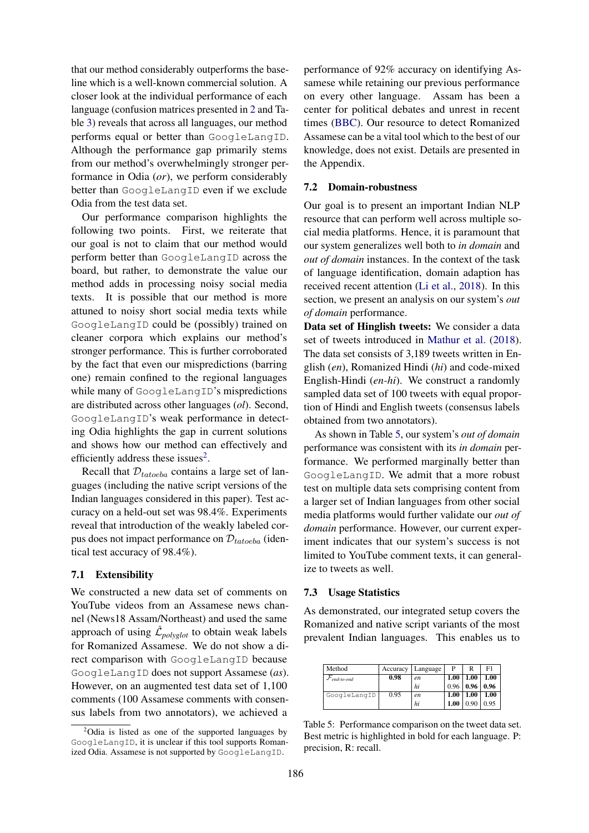that our method considerably outperforms the baseline which is a well-known commercial solution. A closer look at the individual performance of each language (confusion matrices presented in [2](#page-4-1) and Table [3\)](#page-4-2) reveals that across all languages, our method performs equal or better than GoogleLangID. Although the performance gap primarily stems from our method's overwhelmingly stronger performance in Odia (*or*), we perform considerably better than GoogleLangID even if we exclude Odia from the test data set.

Our performance comparison highlights the following two points. First, we reiterate that our goal is not to claim that our method would perform better than GoogleLangID across the board, but rather, to demonstrate the value our method adds in processing noisy social media texts. It is possible that our method is more attuned to noisy short social media texts while GoogleLangID could be (possibly) trained on cleaner corpora which explains our method's stronger performance. This is further corroborated by the fact that even our mispredictions (barring one) remain confined to the regional languages while many of GoogleLangID's mispredictions are distributed across other languages (*ol*). Second, GoogleLangID's weak performance in detecting Odia highlights the gap in current solutions and shows how our method can effectively and efficiently address these issues<sup>[2](#page-5-0)</sup>.

Recall that  $D_{tatoeba}$  contains a large set of languages (including the native script versions of the Indian languages considered in this paper). Test accuracy on a held-out set was 98.4%. Experiments reveal that introduction of the weakly labeled corpus does not impact performance on  $\mathcal{D}_{tatoeba}$  (identical test accuracy of 98.4%).

## 7.1 Extensibility

We constructed a new data set of comments on YouTube videos from an Assamese news channel (News18 Assam/Northeast) and used the same approach of using  $\mathcal{\hat{L}}_{polyglot}$  to obtain weak labels for Romanized Assamese. We do not show a direct comparison with GoogleLangID because GoogleLangID does not support Assamese (*as*). However, on an augmented test data set of 1,100 comments (100 Assamese comments with consensus labels from two annotators), we achieved a

performance of 92% accuracy on identifying Assamese while retaining our previous performance on every other language. Assam has been a center for political debates and unrest in recent times [\(BBC\)](#page-8-17). Our resource to detect Romanized Assamese can be a vital tool which to the best of our knowledge, does not exist. Details are presented in the Appendix.

#### 7.2 Domain-robustness

Our goal is to present an important Indian NLP resource that can perform well across multiple social media platforms. Hence, it is paramount that our system generalizes well both to *in domain* and *out of domain* instances. In the context of the task of language identification, domain adaption has received recent attention [\(Li et al.,](#page-9-19) [2018\)](#page-9-19). In this section, we present an analysis on our system's *out of domain* performance.

Data set of Hinglish tweets: We consider a data set of tweets introduced in [Mathur et al.](#page-9-20) [\(2018\)](#page-9-20). The data set consists of 3,189 tweets written in English (*en*), Romanized Hindi (*hi*) and code-mixed English-Hindi (*en-hi*). We construct a randomly sampled data set of 100 tweets with equal proportion of Hindi and English tweets (consensus labels obtained from two annotators).

As shown in Table [5,](#page-5-1) our system's *out of domain* performance was consistent with its *in domain* performance. We performed marginally better than GoogleLangID. We admit that a more robust test on multiple data sets comprising content from a larger set of Indian languages from other social media platforms would further validate our *out of domain* performance. However, our current experiment indicates that our system's success is not limited to YouTube comment texts, it can generalize to tweets as well.

#### 7.3 Usage Statistics

As demonstrated, our integrated setup covers the Romanized and native script variants of the most prevalent Indian languages. This enables us to

<span id="page-5-1"></span>

| Method       | Accuracy | Language | P    | R    | F1          |
|--------------|----------|----------|------|------|-------------|
| end-to-end   | 0.98     | en       | 1.00 | 1.00 | 1.00        |
|              |          | hi       | 0.96 | 0.96 | $\mid$ 0.96 |
| GoogleLangID | 0.95     | en       | 1.00 | 1.00 | 1.00        |
|              |          | hi       | 1.00 | 0.90 | 0.95        |

Table 5: Performance comparison on the tweet data set. Best metric is highlighted in bold for each language. P: precision, R: recall.

<span id="page-5-0"></span> $2^2$ Odia is listed as one of the supported languages by GoogleLangID, it is unclear if this tool supports Romanized Odia. Assamese is not supported by GoogleLangID.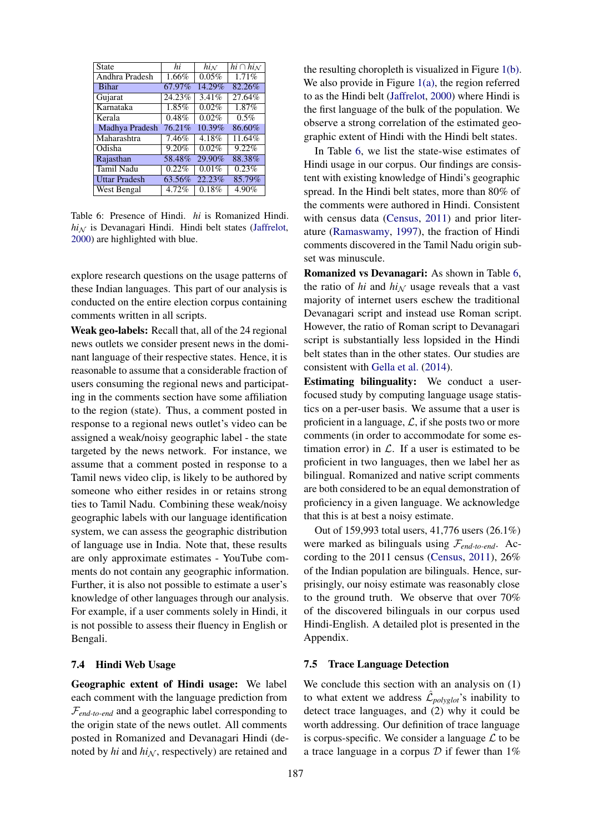<span id="page-6-1"></span>

| State                | hi     | $hi_{\mathcal{N}}$ | $hi \cap hi_{\mathcal{N}}$ |
|----------------------|--------|--------------------|----------------------------|
| Andhra Pradesh       | 1.66%  | 0.05%              | 1.71%                      |
| <b>Bihar</b>         | 67.97% | 14.29%             | 82.26%                     |
| Gujarat              | 24.23% | 3.41%              | 27.64%                     |
| Karnataka            | 1.85%  | 0.02%              | 1.87%                      |
| Kerala               | 0.48%  | 0.02%              | 0.5%                       |
| Madhya Pradesh       | 76.21% | 10.39%             | 86.60%                     |
| Maharashtra          | 7.46%  | 4.18%              | 11.64%                     |
| Odisha               | 9.20%  | 0.02%              | 9.22%                      |
| Rajasthan            | 58.48% | 29.90%             | 88.38%                     |
| Tamil Nadu           | 0.22%  | 0.01%              | 0.23%                      |
| <b>Uttar Pradesh</b> | 63.56% | 22.23%             | 85.79%                     |
| West Bengal          | 4.72%  | 0.18%              | 4.90%                      |

Table 6: Presence of Hindi. *hi* is Romanized Hindi.  $hi_N$  is Devanagari Hindi. Hindi belt states [\(Jaffrelot,](#page-8-7) [2000\)](#page-8-7) are highlighted with blue.

explore research questions on the usage patterns of these Indian languages. This part of our analysis is conducted on the entire election corpus containing comments written in all scripts.

Weak geo-labels: Recall that, all of the 24 regional news outlets we consider present news in the dominant language of their respective states. Hence, it is reasonable to assume that a considerable fraction of users consuming the regional news and participating in the comments section have some affiliation to the region (state). Thus, a comment posted in response to a regional news outlet's video can be assigned a weak/noisy geographic label - the state targeted by the news network. For instance, we assume that a comment posted in response to a Tamil news video clip, is likely to be authored by someone who either resides in or retains strong ties to Tamil Nadu. Combining these weak/noisy geographic labels with our language identification system, we can assess the geographic distribution of language use in India. Note that, these results are only approximate estimates - YouTube comments do not contain any geographic information. Further, it is also not possible to estimate a user's knowledge of other languages through our analysis. For example, if a user comments solely in Hindi, it is not possible to assess their fluency in English or Bengali.

### 7.4 Hindi Web Usage

Geographic extent of Hindi usage: We label each comment with the language prediction from  $\mathcal{F}_{end-to-end}$  and a geographic label corresponding to the origin state of the news outlet. All comments posted in Romanized and Devanagari Hindi (denoted by  $hi$  and  $hi$ <sub>N</sub>, respectively) are retained and

the resulting choropleth is visualized in Figure [1\(b\).](#page-7-0) We also provide in Figure [1\(a\),](#page-7-1) the region referred to as the Hindi belt [\(Jaffrelot,](#page-8-7) [2000\)](#page-8-7) where Hindi is the first language of the bulk of the population. We observe a strong correlation of the estimated geographic extent of Hindi with the Hindi belt states.

In Table [6,](#page-6-1) we list the state-wise estimates of Hindi usage in our corpus. Our findings are consistent with existing knowledge of Hindi's geographic spread. In the Hindi belt states, more than 80% of the comments were authored in Hindi. Consistent with census data [\(Census,](#page-8-0) [2011\)](#page-8-0) and prior literature [\(Ramaswamy,](#page-9-21) [1997\)](#page-9-21), the fraction of Hindi comments discovered in the Tamil Nadu origin subset was minuscule.

Romanized vs Devanagari: As shown in Table [6,](#page-6-1) the ratio of  $hi$  and  $hi_N$  usage reveals that a vast majority of internet users eschew the traditional Devanagari script and instead use Roman script. However, the ratio of Roman script to Devanagari script is substantially less lopsided in the Hindi belt states than in the other states. Our studies are consistent with [Gella et al.](#page-8-2) [\(2014\)](#page-8-2).

Estimating bilinguality: We conduct a userfocused study by computing language usage statistics on a per-user basis. We assume that a user is proficient in a language,  $\mathcal{L}$ , if she posts two or more comments (in order to accommodate for some estimation error) in  $\mathcal{L}$ . If a user is estimated to be proficient in two languages, then we label her as bilingual. Romanized and native script comments are both considered to be an equal demonstration of proficiency in a given language. We acknowledge that this is at best a noisy estimate.

Out of 159,993 total users, 41,776 users (26.1%) were marked as bilinguals using F*end-to-end*. According to the 2011 census [\(Census,](#page-8-0) [2011\)](#page-8-0), 26% of the Indian population are bilinguals. Hence, surprisingly, our noisy estimate was reasonably close to the ground truth. We observe that over 70% of the discovered bilinguals in our corpus used Hindi-English. A detailed plot is presented in the Appendix.

### <span id="page-6-0"></span>7.5 Trace Language Detection

We conclude this section with an analysis on  $(1)$ to what extent we address  $\hat{\mathcal{L}}_{polyglot}$ 's inability to detect trace languages, and (2) why it could be worth addressing. Our definition of trace language is corpus-specific. We consider a language  $\mathcal L$  to be a trace language in a corpus  $D$  if fewer than 1%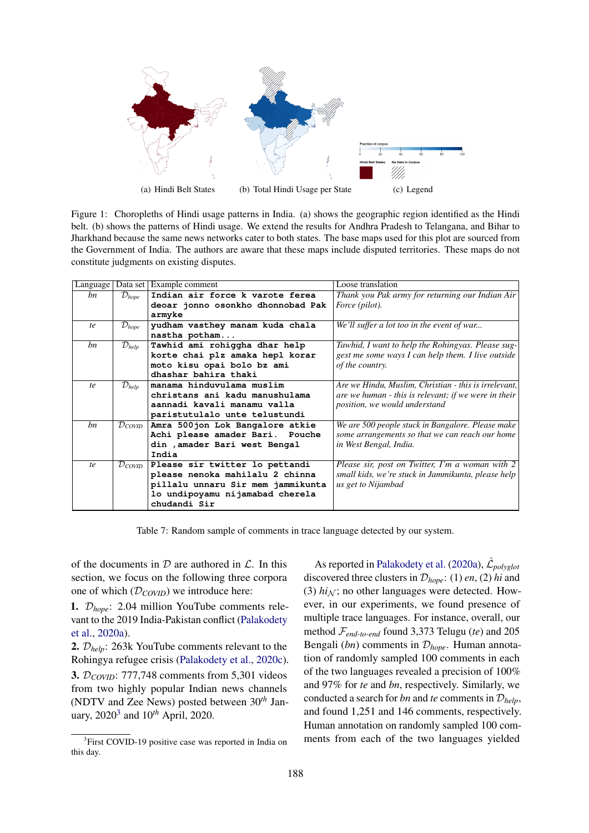<span id="page-7-1"></span><span id="page-7-0"></span>

Figure 1: Choropleths of Hindi usage patterns in India. (a) shows the geographic region identified as the Hindi belt. (b) shows the patterns of Hindi usage. We extend the results for Andhra Pradesh to Telangana, and Bihar to Jharkhand because the same news networks cater to both states. The base maps used for this plot are sourced from the Government of India. The authors are aware that these maps include disputed territories. These maps do not constitute judgments on existing disputes.

<span id="page-7-3"></span>

| Language |                                | Data set Example comment          | Loose translation                                     |
|----------|--------------------------------|-----------------------------------|-------------------------------------------------------|
| bn       | $\mathcal{D}_{hope}$           | Indian air force k varote ferea   | Thank you Pak army for returning our Indian Air       |
|          |                                | deoar jonno osonkho dhonnobad Pak | <i>Force</i> ( <i>pilot</i> ).                        |
|          |                                | armyke                            |                                                       |
| te       | $\mathcal{D}_{hope}$           | yudham vasthey manam kuda chala   | We'll suffer a lot too in the event of war            |
|          |                                | nastha potham                     |                                                       |
| bn       | $\mathcal{D}_{help}$           | Tawhid ami rohiggha dhar help     | Tawhid, I want to help the Rohingyas. Please sug-     |
|          |                                | korte chai plz amaka hepl korar   | gest me some ways I can help them. I live outside     |
|          |                                | moto kisu opai bolo bz ami        | of the country.                                       |
|          |                                | dhashar bahira thaki              |                                                       |
| te       | $\mathcal{D}_{help}$           | manama hinduvulama muslim         | Are we Hindu, Muslim, Christian - this is irrelevant, |
|          |                                | christans ani kadu manushulama    | are we human - this is relevant; if we were in their  |
|          |                                | aannadi kavali manamu valla       | position, we would understand                         |
|          |                                | paristutulalo unte telustundi     |                                                       |
| bn       | $\mathcal{D}_{\textit{COVID}}$ | Amra 500jon Lok Bangalore atkie   | We are 500 people stuck in Bangalore. Please make     |
|          |                                | Achi please amader Bari. Pouche   | some arrangements so that we can reach our home       |
|          |                                | din , amader Bari west Bengal     | in West Bengal, India.                                |
|          |                                | India                             |                                                       |
| te       | $\mathcal{D}_{\textit{COVID}}$ | Please sir twitter lo pettandi    | Please sir, post on Twitter, I'm a woman with 2       |
|          |                                | please nenoka mahilalu 2 chinna   | small kids, we're stuck in Jammikunta, please help    |
|          |                                | pillalu unnaru Sir mem jammikunta | us get to Nijambad                                    |
|          |                                | lo undipoyamu nijamabad cherela   |                                                       |
|          |                                | chudandi Sir                      |                                                       |

Table 7: Random sample of comments in trace language detected by our system.

of the documents in  $D$  are authored in  $\mathcal{L}$ . In this section, we focus on the following three corpora one of which (D*COVID*) we introduce here:

1. D*hope*: 2.04 million YouTube comments relevant to the 2019 India-Pakistan conflict [\(Palakodety](#page-9-1) [et al.,](#page-9-1) [2020a\)](#page-9-1).

2. D*help*: 263k YouTube comments relevant to the Rohingya refugee crisis [\(Palakodety et al.,](#page-9-5) [2020c\)](#page-9-5).

3. D*COVID*: 777,748 comments from 5,301 videos from two highly popular Indian news channels (NDTV and Zee News) posted between 30*th* January, 2020[3](#page-7-2) and 10*th* April, 2020.

As reported in [Palakodety et al.](#page-9-1) [\(2020a\)](#page-9-1),  $\hat{\mathcal{L}}_{polyglon}$ discovered three clusters in D*hope*: (1) *en*, (2) *hi* and (3)  $hi_N$ ; no other languages were detected. However, in our experiments, we found presence of multiple trace languages. For instance, overall, our method F*end-to-end* found 3,373 Telugu (*te*) and 205 Bengali (*bn*) comments in D*hope*. Human annotation of randomly sampled 100 comments in each of the two languages revealed a precision of 100% and 97% for *te* and *bn*, respectively. Similarly, we conducted a search for *bn* and *te* comments in  $\mathcal{D}_{help}$ , and found 1,251 and 146 comments, respectively. Human annotation on randomly sampled 100 comments from each of the two languages yielded

<span id="page-7-2"></span><sup>&</sup>lt;sup>3</sup>First COVID-19 positive case was reported in India on this day.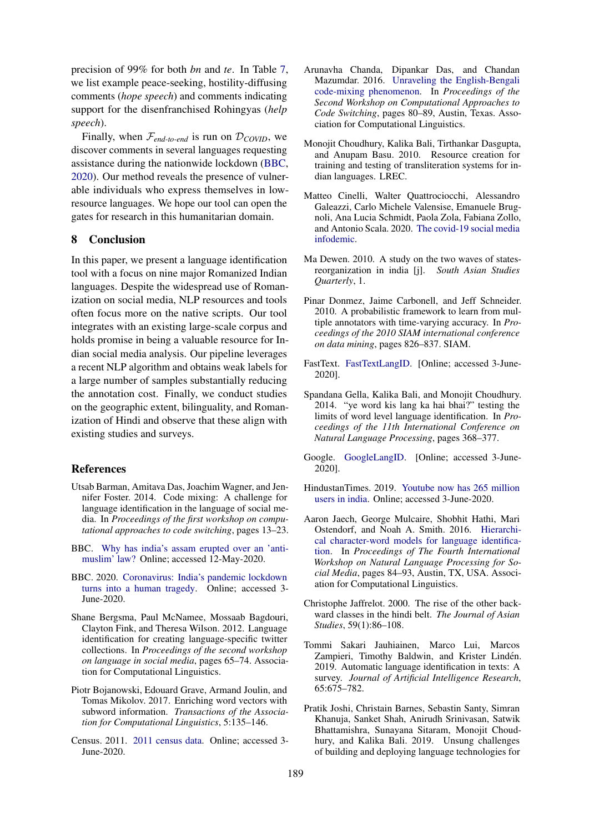precision of 99% for both *bn* and *te*. In Table [7,](#page-7-3) we list example peace-seeking, hostility-diffusing comments (*hope speech*) and comments indicating support for the disenfranchised Rohingyas (*help speech*).

Finally, when  $\mathcal{F}_{end-to-end}$  is run on  $\mathcal{D}_{COVID}$ , we discover comments in several languages requesting assistance during the nationwide lockdown [\(BBC,](#page-8-18) [2020\)](#page-8-18). Our method reveals the presence of vulnerable individuals who express themselves in lowresource languages. We hope our tool can open the gates for research in this humanitarian domain.

# 8 Conclusion

In this paper, we present a language identification tool with a focus on nine major Romanized Indian languages. Despite the widespread use of Romanization on social media, NLP resources and tools often focus more on the native scripts. Our tool integrates with an existing large-scale corpus and holds promise in being a valuable resource for Indian social media analysis. Our pipeline leverages a recent NLP algorithm and obtains weak labels for a large number of samples substantially reducing the annotation cost. Finally, we conduct studies on the geographic extent, bilinguality, and Romanization of Hindi and observe that these align with existing studies and surveys.

# References

- <span id="page-8-3"></span>Utsab Barman, Amitava Das, Joachim Wagner, and Jennifer Foster. 2014. Code mixing: A challenge for language identification in the language of social media. In *Proceedings of the first workshop on computational approaches to code switching*, pages 13–23.
- <span id="page-8-17"></span>BBC. [Why has india's assam erupted over an 'anti](https://www.bbc.com/news/world-asia-india-50757093)[muslim' law?](https://www.bbc.com/news/world-asia-india-50757093) Online; accessed 12-May-2020.
- <span id="page-8-18"></span>BBC. 2020. [Coronavirus: India's pandemic lockdown](https://www.bbc.com/news/world-asia-india-52086274) [turns into a human tragedy.](https://www.bbc.com/news/world-asia-india-52086274) Online; accessed 3- June-2020.
- <span id="page-8-12"></span>Shane Bergsma, Paul McNamee, Mossaab Bagdouri, Clayton Fink, and Theresa Wilson. 2012. Language identification for creating language-specific twitter collections. In *Proceedings of the second workshop on language in social media*, pages 65–74. Association for Computational Linguistics.
- <span id="page-8-16"></span>Piotr Bojanowski, Edouard Grave, Armand Joulin, and Tomas Mikolov. 2017. Enriching word vectors with subword information. *Transactions of the Association for Computational Linguistics*, 5:135–146.
- <span id="page-8-0"></span>Census. 2011. [2011 census data.](http://censusindia.gov.in/2011-Common/CensusData2011.html) Online; accessed 3- June-2020.
- <span id="page-8-15"></span>Arunavha Chanda, Dipankar Das, and Chandan Mazumdar. 2016. [Unraveling the English-Bengali](https://doi.org/10.18653/v1/W16-5810) [code-mixing phenomenon.](https://doi.org/10.18653/v1/W16-5810) In *Proceedings of the Second Workshop on Computational Approaches to Code Switching*, pages 80–89, Austin, Texas. Association for Computational Linguistics.
- <span id="page-8-1"></span>Monojit Choudhury, Kalika Bali, Tirthankar Dasgupta, and Anupam Basu. 2010. Resource creation for training and testing of transliteration systems for indian languages. LREC.
- <span id="page-8-9"></span>Matteo Cinelli, Walter Quattrociocchi, Alessandro Galeazzi, Carlo Michele Valensise, Emanuele Brugnoli, Ana Lucia Schmidt, Paola Zola, Fabiana Zollo, and Antonio Scala. 2020. [The covid-19 social media](http://arxiv.org/abs/2003.05004) [infodemic.](http://arxiv.org/abs/2003.05004)
- <span id="page-8-10"></span>Ma Dewen. 2010. A study on the two waves of statesreorganization in india [j]. *South Asian Studies Quarterly*, 1.
- <span id="page-8-11"></span>Pinar Donmez, Jaime Carbonell, and Jeff Schneider. 2010. A probabilistic framework to learn from multiple annotators with time-varying accuracy. In *Proceedings of the 2010 SIAM international conference on data mining*, pages 826–837. SIAM.
- <span id="page-8-4"></span>FastText. [FastTextLangID.](https://fasttext.cc/blog/2017/10/02/blog-post.html) [Online; accessed 3-June-2020].
- <span id="page-8-2"></span>Spandana Gella, Kalika Bali, and Monojit Choudhury. 2014. "ye word kis lang ka hai bhai?" testing the limits of word level language identification. In *Proceedings of the 11th International Conference on Natural Language Processing*, pages 368–377.
- <span id="page-8-5"></span>Google. [GoogleLangID.](https://cloud.google.com/translate/docs/detecting-language) [Online; accessed 3-June-2020].
- <span id="page-8-8"></span>HindustanTimes. 2019. [Youtube now has 265 million](https://www.hindustantimes.com/tech/youtube-now-has-265-million-users-in-india/story-j5njXtLHZCQ0PCwb57s40O.html) [users in india.](https://www.hindustantimes.com/tech/youtube-now-has-265-million-users-in-india/story-j5njXtLHZCQ0PCwb57s40O.html) Online; accessed 3-June-2020.
- <span id="page-8-13"></span>Aaron Jaech, George Mulcaire, Shobhit Hathi, Mari Ostendorf, and Noah A. Smith. 2016. [Hierarchi](https://doi.org/10.18653/v1/W16-6212)[cal character-word models for language identifica](https://doi.org/10.18653/v1/W16-6212)[tion.](https://doi.org/10.18653/v1/W16-6212) In *Proceedings of The Fourth International Workshop on Natural Language Processing for Social Media*, pages 84–93, Austin, TX, USA. Association for Computational Linguistics.
- <span id="page-8-7"></span>Christophe Jaffrelot. 2000. The rise of the other backward classes in the hindi belt. *The Journal of Asian Studies*, 59(1):86–108.
- <span id="page-8-14"></span>Tommi Sakari Jauhiainen, Marco Lui, Marcos Zampieri, Timothy Baldwin, and Krister Lindén. 2019. Automatic language identification in texts: A survey. *Journal of Artificial Intelligence Research*, 65:675–782.
- <span id="page-8-6"></span>Pratik Joshi, Christain Barnes, Sebastin Santy, Simran Khanuja, Sanket Shah, Anirudh Srinivasan, Satwik Bhattamishra, Sunayana Sitaram, Monojit Choudhury, and Kalika Bali. 2019. Unsung challenges of building and deploying language technologies for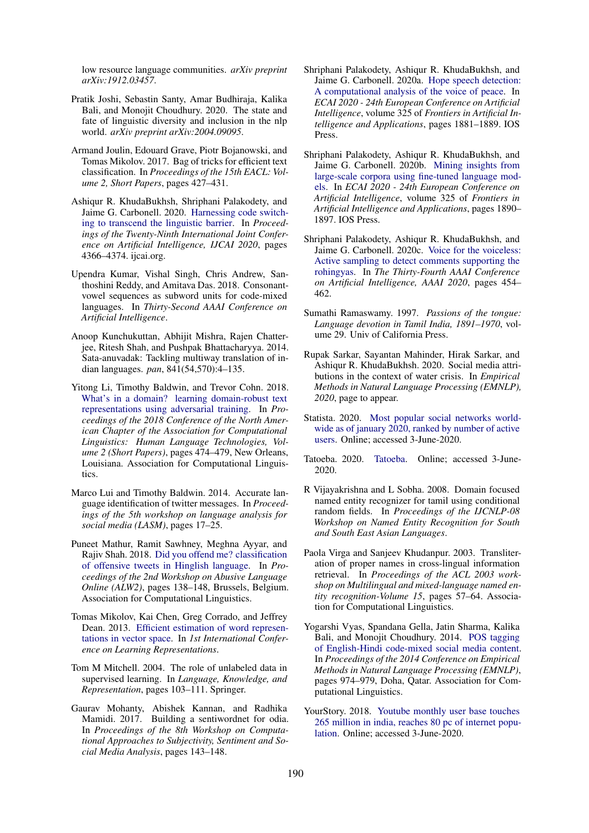low resource language communities. *arXiv preprint arXiv:1912.03457*.

- <span id="page-9-14"></span>Pratik Joshi, Sebastin Santy, Amar Budhiraja, Kalika Bali, and Monojit Choudhury. 2020. The state and fate of linguistic diversity and inclusion in the nlp world. *arXiv preprint arXiv:2004.09095*.
- <span id="page-9-18"></span>Armand Joulin, Edouard Grave, Piotr Bojanowski, and Tomas Mikolov. 2017. Bag of tricks for efficient text classification. In *Proceedings of the 15th EACL: Volume 2, Short Papers*, pages 427–431.
- <span id="page-9-17"></span>Ashiqur R. KhudaBukhsh, Shriphani Palakodety, and Jaime G. Carbonell. 2020. [Harnessing code switch](https://doi.org/10.24963/ijcai.2020/602)[ing to transcend the linguistic barrier.](https://doi.org/10.24963/ijcai.2020/602) In *Proceedings of the Twenty-Ninth International Joint Conference on Artificial Intelligence, IJCAI 2020*, pages 4366–4374. ijcai.org.
- <span id="page-9-9"></span>Upendra Kumar, Vishal Singh, Chris Andrew, Santhoshini Reddy, and Amitava Das. 2018. Consonantvowel sequences as subword units for code-mixed languages. In *Thirty-Second AAAI Conference on Artificial Intelligence*.
- <span id="page-9-12"></span>Anoop Kunchukuttan, Abhijit Mishra, Rajen Chatterjee, Ritesh Shah, and Pushpak Bhattacharyya. 2014. Sata-anuvadak: Tackling multiway translation of indian languages. *pan*, 841(54,570):4–135.
- <span id="page-9-19"></span>Yitong Li, Timothy Baldwin, and Trevor Cohn. 2018. [What's in a domain? learning domain-robust text](https://doi.org/10.18653/v1/N18-2076) [representations using adversarial training.](https://doi.org/10.18653/v1/N18-2076) In *Proceedings of the 2018 Conference of the North American Chapter of the Association for Computational Linguistics: Human Language Technologies, Volume 2 (Short Papers)*, pages 474–479, New Orleans, Louisiana. Association for Computational Linguistics.
- <span id="page-9-8"></span>Marco Lui and Timothy Baldwin. 2014. Accurate language identification of twitter messages. In *Proceedings of the 5th workshop on language analysis for social media (LASM)*, pages 17–25.
- <span id="page-9-20"></span>Puneet Mathur, Ramit Sawhney, Meghna Ayyar, and Rajiv Shah. 2018. [Did you offend me? classification](https://doi.org/10.18653/v1/W18-5118) [of offensive tweets in Hinglish language.](https://doi.org/10.18653/v1/W18-5118) In *Proceedings of the 2nd Workshop on Abusive Language Online (ALW2)*, pages 138–148, Brussels, Belgium. Association for Computational Linguistics.
- <span id="page-9-15"></span>Tomas Mikolov, Kai Chen, Greg Corrado, and Jeffrey Dean. 2013. [Efficient estimation of word represen](http://arxiv.org/abs/1301.3781)[tations in vector space.](http://arxiv.org/abs/1301.3781) In *1st International Conference on Learning Representations*.
- <span id="page-9-7"></span>Tom M Mitchell. 2004. The role of unlabeled data in supervised learning. In *Language, Knowledge, and Representation*, pages 103–111. Springer.
- <span id="page-9-13"></span>Gaurav Mohanty, Abishek Kannan, and Radhika Mamidi. 2017. Building a sentiwordnet for odia. In *Proceedings of the 8th Workshop on Computational Approaches to Subjectivity, Sentiment and Social Media Analysis*, pages 143–148.
- <span id="page-9-1"></span>Shriphani Palakodety, Ashiqur R. KhudaBukhsh, and Jaime G. Carbonell. 2020a. [Hope speech detection:](https://doi.org/10.3233/FAIA200305) [A computational analysis of the voice of peace.](https://doi.org/10.3233/FAIA200305) In *ECAI 2020 - 24th European Conference on Artificial Intelligence*, volume 325 of *Frontiers in Artificial Intelligence and Applications*, pages 1881–1889. IOS Press.
- <span id="page-9-2"></span>Shriphani Palakodety, Ashiqur R. KhudaBukhsh, and Jaime G. Carbonell. 2020b. [Mining insights from](https://doi.org/10.3233/FAIA200306) [large-scale corpora using fine-tuned language mod](https://doi.org/10.3233/FAIA200306)[els.](https://doi.org/10.3233/FAIA200306) In *ECAI 2020 - 24th European Conference on Artificial Intelligence*, volume 325 of *Frontiers in Artificial Intelligence and Applications*, pages 1890– 1897. IOS Press.
- <span id="page-9-5"></span>Shriphani Palakodety, Ashiqur R. KhudaBukhsh, and Jaime G. Carbonell. 2020c. [Voice for the voiceless:](https://aaai.org/ojs/index.php/AAAI/article/view/5382) [Active sampling to detect comments supporting the](https://aaai.org/ojs/index.php/AAAI/article/view/5382) [rohingyas.](https://aaai.org/ojs/index.php/AAAI/article/view/5382) In *The Thirty-Fourth AAAI Conference on Artificial Intelligence, AAAI 2020*, pages 454– 462.
- <span id="page-9-21"></span>Sumathi Ramaswamy. 1997. *Passions of the tongue: Language devotion in Tamil India, 1891–1970*, volume 29. Univ of California Press.
- <span id="page-9-6"></span>Rupak Sarkar, Sayantan Mahinder, Hirak Sarkar, and Ashiqur R. KhudaBukhsh. 2020. Social media attributions in the context of water crisis. In *Empirical Methods in Natural Language Processing (EMNLP), 2020*, page to appear.
- <span id="page-9-3"></span>Statista. 2020. [Most popular social networks world](https://www.statista.com/statistics/272014/global-social-networks-ranked-by-number-of-users/)[wide as of january 2020, ranked by number of active](https://www.statista.com/statistics/272014/global-social-networks-ranked-by-number-of-users/) [users.](https://www.statista.com/statistics/272014/global-social-networks-ranked-by-number-of-users/) Online; accessed 3-June-2020.
- <span id="page-9-16"></span>Tatoeba. 2020. [Tatoeba.](https://tatoeba.org/eng/downloads) Online; accessed 3-June-2020.
- <span id="page-9-11"></span>R Vijayakrishna and L Sobha. 2008. Domain focused named entity recognizer for tamil using conditional random fields. In *Proceedings of the IJCNLP-08 Workshop on Named Entity Recognition for South and South East Asian Languages*.
- <span id="page-9-0"></span>Paola Virga and Sanjeev Khudanpur. 2003. Transliteration of proper names in cross-lingual information retrieval. In *Proceedings of the ACL 2003 workshop on Multilingual and mixed-language named entity recognition-Volume 15*, pages 57–64. Association for Computational Linguistics.
- <span id="page-9-10"></span>Yogarshi Vyas, Spandana Gella, Jatin Sharma, Kalika Bali, and Monojit Choudhury. 2014. [POS tagging](https://doi.org/10.3115/v1/D14-1105) [of English-Hindi code-mixed social media content.](https://doi.org/10.3115/v1/D14-1105) In *Proceedings of the 2014 Conference on Empirical Methods in Natural Language Processing (EMNLP)*, pages 974–979, Doha, Qatar. Association for Computational Linguistics.
- <span id="page-9-4"></span>YourStory. 2018. [Youtube monthly user base touches](https://yourstory.com/2018/03/youtube-monthly-user-base-touches-225-million-india-reaches-80-pc-internet-population) [265 million in india, reaches 80 pc of internet popu](https://yourstory.com/2018/03/youtube-monthly-user-base-touches-225-million-india-reaches-80-pc-internet-population)[lation.](https://yourstory.com/2018/03/youtube-monthly-user-base-touches-225-million-india-reaches-80-pc-internet-population) Online; accessed 3-June-2020.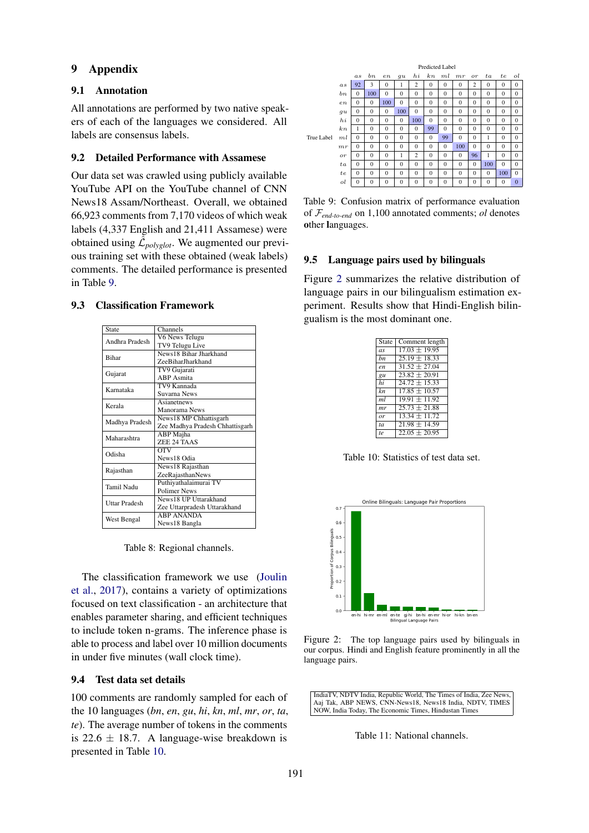# 9 Appendix

### 9.1 Annotation

All annotations are performed by two native speakers of each of the languages we considered. All labels are consensus labels.

## 9.2 Detailed Performance with Assamese

Our data set was crawled using publicly available YouTube API on the YouTube channel of CNN News18 Assam/Northeast. Overall, we obtained 66,923 comments from 7,170 videos of which weak labels (4,337 English and 21,411 Assamese) were obtained using  $\tilde{\mathcal{L}}_{polyglot}$ . We augmented our previous training set with these obtained (weak labels) comments. The detailed performance is presented in Table [9.](#page-10-0)

#### <span id="page-10-3"></span>9.3 Classification Framework

| State                | Channels                        |  |  |  |  |
|----------------------|---------------------------------|--|--|--|--|
| Andhra Pradesh       | V6 News Telugu                  |  |  |  |  |
|                      | TV9 Telugu Live                 |  |  |  |  |
| <b>Rihar</b>         | News18 Bihar Jharkhand          |  |  |  |  |
|                      | ZeeBiharJharkhand               |  |  |  |  |
|                      | TV9 Gujarati                    |  |  |  |  |
| Gujarat              | <b>ABP</b> Asmita               |  |  |  |  |
| Karnataka            | TV9 Kannada                     |  |  |  |  |
|                      | Suvarna News                    |  |  |  |  |
| Kerala               | Asianetnews                     |  |  |  |  |
|                      | Manorama News                   |  |  |  |  |
| Madhya Pradesh       | News18 MP Chhattisgarh          |  |  |  |  |
|                      | Zee Madhya Pradesh Chhattisgarh |  |  |  |  |
| Maharashtra          | ABP Majha                       |  |  |  |  |
|                      | ZEE 24 TAAS                     |  |  |  |  |
| Odisha               | $\overline{\text{OTV}}$         |  |  |  |  |
|                      | News18 Odia                     |  |  |  |  |
| Rajasthan            | News18 Rajasthan                |  |  |  |  |
|                      | ZeeRajasthanNews                |  |  |  |  |
| Tamil Nadu           | Puthiyathalaimurai TV           |  |  |  |  |
|                      | <b>Polimer News</b>             |  |  |  |  |
| <b>Uttar Pradesh</b> | News18 UP Uttarakhand           |  |  |  |  |
|                      | Zee Uttarpradesh Uttarakhand    |  |  |  |  |
| West Bengal          | <b>ARP ANANDA</b>               |  |  |  |  |
|                      | News18 Bangla                   |  |  |  |  |

Table 8: Regional channels.

The classification framework we use [\(Joulin](#page-9-18) [et al.,](#page-9-18) [2017\)](#page-9-18), contains a variety of optimizations focused on text classification - an architecture that enables parameter sharing, and efficient techniques to include token n-grams. The inference phase is able to process and label over 10 million documents in under five minutes (wall clock time).

# 9.4 Test data set details

100 comments are randomly sampled for each of the 10 languages (*bn*, *en*, *gu*, *hi*, *kn*, *ml*, *mr*, *or*, *ta*, *te*). The average number of tokens in the comments is 22.6  $\pm$  18.7. A language-wise breakdown is presented in Table [10.](#page-10-1)

<span id="page-10-0"></span>

|            |         | Predicted Label |                |              |              |                |              |              |              |                |              |              |              |
|------------|---------|-----------------|----------------|--------------|--------------|----------------|--------------|--------------|--------------|----------------|--------------|--------------|--------------|
|            |         | a s             | $_{bn}$        | en           | qu           | h              | k n          | ml           | mr           | or             | ta           | te           | ol           |
|            | as      | 92              | 3              | $\Omega$     | 1            | $\overline{c}$ | $\Omega$     | $\Omega$     | $\Omega$     | $\overline{c}$ | $\Omega$     | $\Omega$     | $\Omega$     |
|            | bn      | $\Omega$        | 100            | $\Omega$     | $\Omega$     | $\mathbf{0}$   | $\mathbf{0}$ | $\mathbf{0}$ | $\mathbf{0}$ | $\overline{0}$ | $\Omega$     | $\mathbf{0}$ | $\mathbf{0}$ |
|            | $_{en}$ | $\Omega$        | $\Omega$       | 100          | $\Omega$     | $\Omega$       | $\Omega$     | $\bf{0}$     | $\theta$     | $\Omega$       | $\Omega$     | $\mathbf{0}$ | $\Omega$     |
|            | qu      | $\mathbf{0}$    | $\mathbf{0}$   | $\mathbf{0}$ | 100          | $\Omega$       | $\Omega$     | $\mathbf{0}$ | $\mathbf{0}$ | $\theta$       | $\Omega$     | $\Omega$     | $\Omega$     |
|            | $h_{i}$ | $\Omega$        | $\Omega$       | $\Omega$     | $\mathbf{0}$ | 100            | $\Omega$     | $\mathbf{0}$ | $\mathbf{0}$ | $\mathbf{0}$   | $\Omega$     | $\mathbf{0}$ | $\Omega$     |
|            | $_{kn}$ | 1               | $\Omega$       | $\Omega$     | $\Omega$     | $\Omega$       | 99           | $\Omega$     | $\theta$     | $\theta$       | $\Omega$     | $\Omega$     | $\Omega$     |
| True Label | ml      | $\Omega$        | $\mathbf{0}$   | $\Omega$     | $\Omega$     | $\Omega$       | $\Omega$     | 99           | $\theta$     | $\Omega$       | 1            | $\Omega$     | $\Omega$     |
|            | mr      | $\Omega$        | $\Omega$       | $\Omega$     | $\Omega$     | $\Omega$       | $\Omega$     | $\Omega$     | 100          | $\theta$       | $\Omega$     | $\Omega$     | $\Omega$     |
|            | or      | $\Omega$        | $\mathbf{0}$   | $\Omega$     | 1            | $\overline{c}$ | $\mathbf{0}$ | $\mathbf{0}$ | $\mathbf{0}$ | 96             | 1            | $\mathbf{0}$ | $\Omega$     |
|            | ta      | $\mathbf{0}$    | $\mathbf{0}$   | $\Omega$     | $\Omega$     | $\mathbf{0}$   | $\mathbf{0}$ | $\mathbf{0}$ | $\mathbf{0}$ | $\overline{0}$ | 100          | $\mathbf{0}$ | $\Omega$     |
|            | te      | $\Omega$        | $\Omega$       | $\Omega$     | $\Omega$     | $\Omega$       | $\Omega$     | $\Omega$     | $\theta$     | $\theta$       | $\Omega$     | 100          | $\Omega$     |
|            | ol      | $\mathbf{0}$    | $\overline{0}$ | $\mathbf{0}$ | $\mathbf{0}$ | $\mathbf{0}$   | $\mathbf{0}$ | $\bf{0}$     | $\mathbf{0}$ | $\mathbf{0}$   | $\mathbf{0}$ | $\mathbf{0}$ | $\mathbf{0}$ |

Table 9: Confusion matrix of performance evaluation of F*end-to-end* on 1,100 annotated comments; *ol* denotes other languages.

#### 9.5 Language pairs used by bilinguals

<span id="page-10-1"></span>Figure [2](#page-10-2) summarizes the relative distribution of language pairs in our bilingualism estimation experiment. Results show that Hindi-English bilingualism is the most dominant one.

| State | Comment length    |
|-------|-------------------|
| as    | $17.03 \pm 19.95$ |
| bn    | $25.19 \pm 18.33$ |
| en.   | $31.52 \pm 27.04$ |
| gu    | $23.82 \pm 20.91$ |
| hi    | $24.72 \pm 15.33$ |
| kn.   | $17.85 \pm 10.57$ |
| ml    | $19.91 + 11.92$   |
| mr    | $25.73 \pm 21.88$ |
| or    | $13.34 \pm 11.72$ |
| ta    | $21.98 \pm 14.59$ |
| te.   | $22.05 \pm 20.95$ |

Table 10: Statistics of test data set.

<span id="page-10-2"></span>

Figure 2: The top language pairs used by bilinguals in our corpus. Hindi and English feature prominently in all the language pairs.

<span id="page-10-4"></span>IndiaTV, NDTV India, Republic World, The Times of India, Zee News, Aaj Tak, ABP NEWS, CNN-News18, News18 India, NDTV, TIMES NOW, India Today, The Economic Times, Hindustan Times

Table 11: National channels.